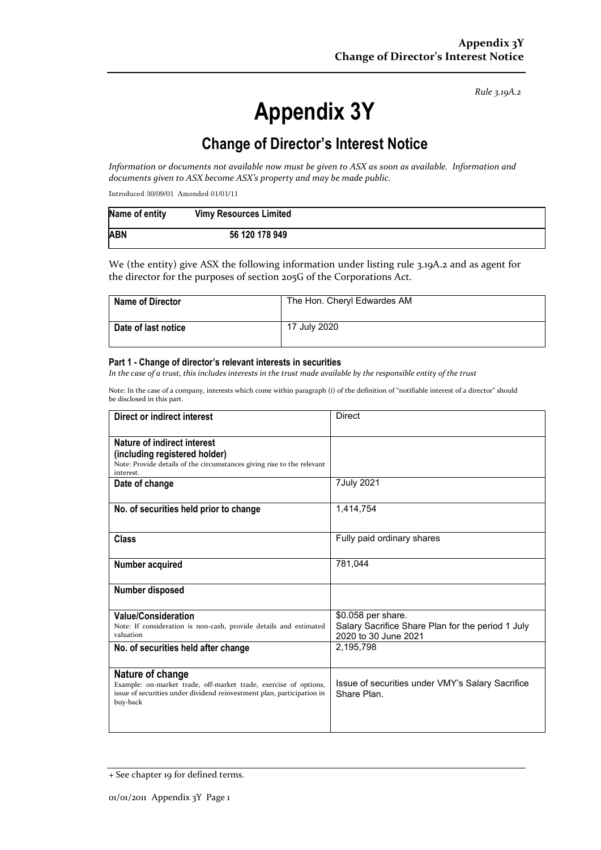*Rule 3.19A.2*

# **Appendix 3Y**

## **Change of Director's Interest Notice**

*Information or documents not available now must be given to ASX as soon as available. Information and documents given to ASX become ASX's property and may be made public.*

Introduced 30/09/01 Amended 01/01/11

| Name of entity | <b>Vimy Resources Limited</b> |  |
|----------------|-------------------------------|--|
| <b>ABN</b>     | 56 120 178 949                |  |

We (the entity) give ASX the following information under listing rule 3.19A.2 and as agent for the director for the purposes of section 205G of the Corporations Act.

| <b>Name of Director</b> | The Hon. Cheryl Edwardes AM |
|-------------------------|-----------------------------|
| Date of last notice     | 17 July 2020                |

#### **Part 1 - Change of director's relevant interests in securities**

*In the case of a trust, this includes interests in the trust made available by the responsible entity of the trust*

Note: In the case of a company, interests which come within paragraph (i) of the definition of "notifiable interest of a director" should be disclosed in this part.

| Direct or indirect interest                                                                                                                                                | Direct                                                                                          |  |
|----------------------------------------------------------------------------------------------------------------------------------------------------------------------------|-------------------------------------------------------------------------------------------------|--|
| Nature of indirect interest<br>(including registered holder)<br>Note: Provide details of the circumstances giving rise to the relevant<br>interest.                        |                                                                                                 |  |
| Date of change                                                                                                                                                             | 7July 2021                                                                                      |  |
| No. of securities held prior to change                                                                                                                                     | 1,414,754                                                                                       |  |
| Class                                                                                                                                                                      | Fully paid ordinary shares                                                                      |  |
| Number acquired                                                                                                                                                            | 781,044                                                                                         |  |
| Number disposed                                                                                                                                                            |                                                                                                 |  |
| <b>Value/Consideration</b><br>Note: If consideration is non-cash, provide details and estimated<br>valuation                                                               | \$0.058 per share.<br>Salary Sacrifice Share Plan for the period 1 July<br>2020 to 30 June 2021 |  |
| No. of securities held after change                                                                                                                                        | 2,195,798                                                                                       |  |
| Nature of change<br>Example: on-market trade, off-market trade, exercise of options,<br>issue of securities under dividend reinvestment plan, participation in<br>buy-back | Issue of securities under VMY's Salary Sacrifice<br>Share Plan                                  |  |

<sup>+</sup> See chapter 19 for defined terms.